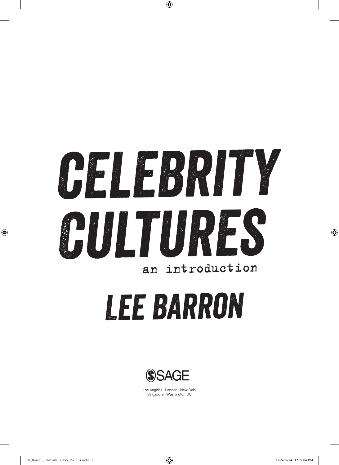



Los Angeles | London | New Delhi Singapore | Washington DC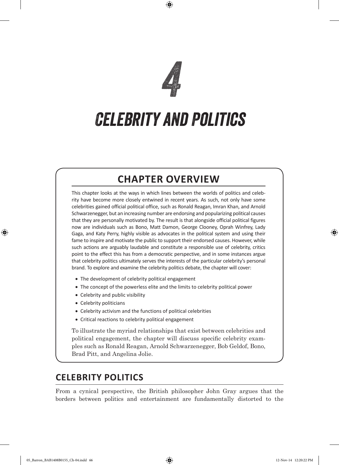

⊕

# Celebrity and Politics

# **CHAPTER OVERVIEW**

This chapter looks at the ways in which lines between the worlds of politics and celebrity have become more closely entwined in recent years. As such, not only have some celebrities gained official political office, such as Ronald Reagan, Imran Khan, and Arnold Schwarzenegger, but an increasing number are endorsing and popularizing political causes that they are personally motivated by. The result is that alongside official political figures now are individuals such as Bono, Matt Damon, George Clooney, Oprah Winfrey, Lady Gaga, and Katy Perry, highly visible as advocates in the political system and using their fame to inspire and motivate the public to support their endorsed causes. However, while such actions are arguably laudable and constitute a responsible use of celebrity, critics point to the effect this has from a democratic perspective, and in some instances argue that celebrity politics ultimately serves the interests of the particular celebrity's personal brand. To explore and examine the celebrity politics debate, the chapter will cover:

- The development of celebrity political engagement
- The concept of the powerless elite and the limits to celebrity political power
- Celebrity and public visibility
- Celebrity politicians
- Celebrity activism and the functions of political celebrities
- Critical reactions to celebrity political engagement

To illustrate the myriad relationships that exist between celebrities and political engagement, the chapter will discuss specific celebrity examples such as Ronald Reagan, Arnold Schwarzenegger, Bob Geldof, Bono, Brad Pitt, and Angelina Jolie.

# **CELEBRITY POLITICS**

From a cynical perspective, the British philosopher John Gray argues that the borders between politics and entertainment are fundamentally distorted to the

⊕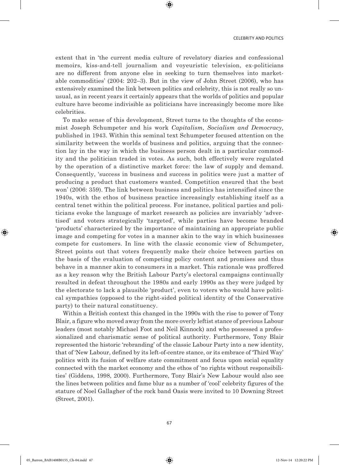extent that in 'the current media culture of revelatory diaries and confessional memoirs, kiss-and-tell journalism and voyeuristic television, ex-politicians are no different from anyone else in seeking to turn themselves into marketable commodities' (2004: 202–3). But in the view of John Street (2006), who has extensively examined the link between politics and celebrity, this is not really so unusual, as in recent years it certainly appears that the worlds of politics and popular culture have become indivisible as politicians have increasingly become more like celebrities.

 $\textcircled{\scriptsize{*}}$ 

To make sense of this development, Street turns to the thoughts of the economist Joseph Schumpeter and his work *Capitalism, Socialism and Democracy*, published in 1943. Within this seminal text Schumpeter focused attention on the similarity between the worlds of business and politics, arguing that the connection lay in the way in which the business person dealt in a particular commodity and the politician traded in votes. As such, both effectively were regulated by the operation of a distinctive market force: the law of supply and demand. Consequently, 'success in business and success in politics were just a matter of producing a product that customers wanted. Competition ensured that the best won' (2006: 359). The link between business and politics has intensified since the 1940s, with the ethos of business practice increasingly establishing itself as a central tenet within the political process. For instance, political parties and politicians evoke the language of market research as policies are invariably 'advertised' and voters strategically 'targeted', while parties have become branded 'products' characterized by the importance of maintaining an appropriate public image and competing for votes in a manner akin to the way in which businesses compete for customers. In line with the classic economic view of Schumpeter, Street points out that voters frequently make their choice between parties on the basis of the evaluation of competing policy content and promises and thus behave in a manner akin to consumers in a market. This rationale was proffered as a key reason why the British Labour Party's electoral campaigns continually resulted in defeat throughout the 1980s and early 1990s as they were judged by the electorate to lack a plausible 'product', even to voters who would have political sympathies (opposed to the right-sided political identity of the Conservative party) to their natural constituency.

Within a British context this changed in the 1990s with the rise to power of Tony Blair, a figure who moved away from the more overly leftist stance of previous Labour leaders (most notably Michael Foot and Neil Kinnock) and who possessed a professionalized and charismatic sense of political authority. Furthermore, Tony Blair represented the historic 'rebranding' of the classic Labour Party into a new identity, that of 'New Labour, defined by its left-of-centre stance, or its embrace of 'Third Way' politics with its fusion of welfare state commitment and focus upon social equality connected with the market economy and the ethos of 'no rights without responsibilities' (Giddens, 1998, 2000). Furthermore, Tony Blair's New Labour would also see the lines between politics and fame blur as a number of 'cool' celebrity figures of the stature of Noel Gallagher of the rock band Oasis were invited to 10 Downing Street (Street, 2001).

⊕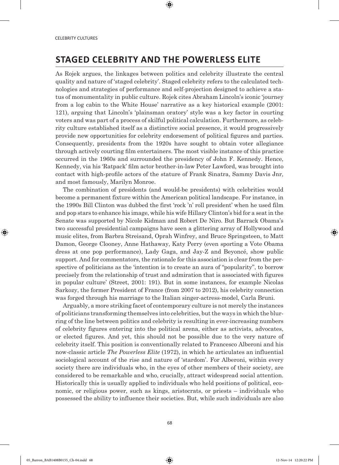### **STAGED CELEBRITY AND THE POWERLESS ELITE**

⊕

As Rojek argues, the linkages between politics and celebrity illustrate the central quality and nature of 'staged celebrity'. Staged celebrity refers to the calculated technologies and strategies of performance and self-projection designed to achieve a status of monumentality in public culture. Rojek cites Abraham Lincoln's iconic 'journey from a log cabin to the White House' narrative as a key historical example (2001: 121), arguing that Lincoln's 'plainsman oratory' style was a key factor in courting voters and was part of a process of skilful political calculation. Furthermore, as celebrity culture established itself as a distinctive social presence, it would progressively provide new opportunities for celebrity endorsement of political figures and parties. Consequently, presidents from the 1920s have sought to obtain voter allegiance through actively courting film entertainers. The most visible instance of this practice occurred in the 1960s and surrounded the presidency of John F. Kennedy. Hence, Kennedy, via his 'Ratpack' film actor brother-in-law Peter Lawford, was brought into contact with high-profile actors of the stature of Frank Sinatra, Sammy Davis Jnr, and most famously, Marilyn Monroe.

The combination of presidents (and would-be presidents) with celebrities would become a permanent fixture within the American political landscape. For instance, in the 1990s Bill Clinton was dubbed the first 'rock 'n' roll president' when he used film and pop stars to enhance his image, while his wife Hillary Clinton's bid for a seat in the Senate was supported by Nicole Kidman and Robert De Niro. But Barrack Obama's two successful presidential campaigns have seen a glittering array of Hollywood and music elites, from Barbra Streisand, Oprah Winfrey, and Bruce Springsteen, to Matt Damon, George Clooney, Anne Hathaway, Katy Perry (even sporting a Vote Obama dress at one pop performance), Lady Gaga, and Jay-Z and Beyoncé, show public support. And for commentators, the rationale for this association is clear from the perspective of politicians as the 'intention is to create an aura of "popularity", to borrow precisely from the relationship of trust and admiration that is associated with figures in popular culture' (Street, 2001: 191). But in some instances, for example Nicolas Sarkozy, the former President of France (from 2007 to 2012), his celebrity connection was forged through his marriage to the Italian singer-actress-model, Carla Bruni.

Arguably, a more striking facet of contemporary culture is not merely the instances of politicians transforming themselves into celebrities, but the ways in which the blurring of the line between politics and celebrity is resulting in ever-increasing numbers of celebrity figures entering into the political arena, either as activists, advocates, or elected figures. And yet, this should not be possible due to the very nature of celebrity itself. This position is conventionally related to Francesco Alberoni and his now-classic article *The Powerless Elite* (1972), in which he articulates an influential sociological account of the rise and nature of 'stardom'. For Alberoni, within every society there are individuals who, in the eyes of other members of their society, are considered to be remarkable and who, crucially, attract widespread social attention. Historically this is usually applied to individuals who held positions of political, economic, or religious power, such as kings, aristocrats, or priests – individuals who possessed the ability to influence their societies. But, while such individuals are also

⊕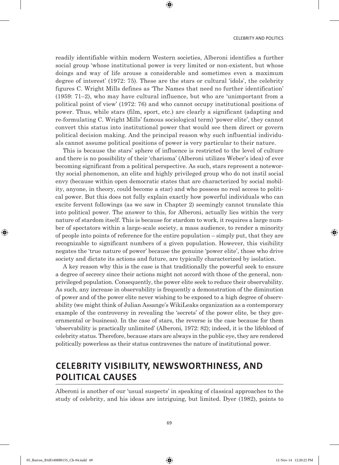readily identifiable within modern Western societies, Alberoni identifies a further social group 'whose institutional power is very limited or non-existent, but whose doings and way of life arouse a considerable and sometimes even a maximum degree of interest' (1972: 75). These are the stars or cultural 'idols', the celebrity figures C. Wright Mills defines as 'The Names that need no further identification' (1959: 71–2), who may have cultural influence, but who are 'unimportant from a political point of view' (1972: 76) and who cannot occupy institutional positions of power. Thus, while stars (film, sport, etc.) are clearly a significant (adapting and re-formulating C. Wright Mills' famous sociological term) 'power elite', they cannot convert this status into institutional power that would see them direct or govern political decision making. And the principal reason why such influential individuals cannot assume political positions of power is very particular to their nature.

 $\textcircled{\scriptsize{*}}$ 

This is because the stars' sphere of influence is restricted to the level of culture and there is no possibility of their 'charisma' (Alberoni utilizes Weber's idea) of ever becoming significant from a political perspective. As such, stars represent a noteworthy social phenomenon, an elite and highly privileged group who do not instil social envy (because within open democratic states that are characterized by social mobility, anyone, in theory, could become a star) and who possess no real access to political power. But this does not fully explain exactly how powerful individuals who can excite fervent followings (as we saw in Chapter 2) seemingly cannot translate this into political power. The answer to this, for Alberoni, actually lies within the very nature of stardom itself. This is because for stardom to work, it requires a large number of spectators within a large-scale society, a mass audience, to render a minority of people into points of reference for the entire population – simply put, that they are recognizable to significant numbers of a given population. However, this visibility negates the 'true nature of power' because the genuine 'power elite', those who drive society and dictate its actions and future, are typically characterized by isolation.

A key reason why this is the case is that traditionally the powerful seek to ensure a degree of secrecy since their actions might not accord with those of the general, nonprivileged population. Consequently, the power elite seek to reduce their observability. As such, any increase in observability is frequently a demonstration of the diminution of power and of the power elite never wishing to be exposed to a high degree of observability (we might think of Julian Assange's WikiLeaks organization as a contemporary example of the controversy in revealing the 'secrets' of the power elite, be they governmental or business). In the case of stars, the reverse is the case because for them 'observability is practically unlimited' (Alberoni, 1972: 82); indeed, it is the lifeblood of celebrity status. Therefore, because stars are always in the public eye, they are rendered politically powerless as their status contravenes the nature of institutional power.

# **CELEBRITY VISIBILITY, NEWSWORTHINESS, AND POLITICAL CAUSES**

Alberoni is another of our 'usual suspects' in speaking of classical approaches to the study of celebrity, and his ideas are intriguing, but limited. Dyer (1982), points to

⊕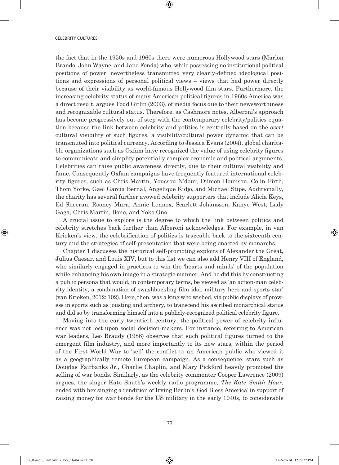the fact that in the 1950s and 1960s there were numerous Hollywood stars (Marlon Brando, John Wayne, and Jane Fonda) who, while possessing no institutional political positions of power, nevertheless transmitted very clearly-defined ideological positions and expressions of personal political views – views that had power directly because of their visibility as world-famous Hollywood film stars. Furthermore, the increasing celebrity status of many American political figures in 1960s America was a direct result, argues Todd Gitlin (2003), of media focus due to their newsworthiness and recognizable cultural status. Therefore, as Cashmore notes, Alberoni's approach has become progressively out of step with the contemporary celebrity/politics equation because the link between celebrity and politics is centrally based on the *overt* cultural visibility of such figures, a visibility/cultural power dynamic that can be transmuted into political currency. According to Jessica Evans (2004), global charitable organizations such as Oxfam have recognized the value of using celebrity figures to communicate and simplify potentially complex economic and political arguments. Celebrities can raise public awareness directly, due to their cultural visibility and fame. Consequently Oxfam campaigns have frequently featured international celebrity figures, such as Chris Martin, Youssou N'dour, Djimon Hounsou, Colin Firth, Thom Yorke, Gael Garcia Bernal, Angelique Kidjo, and Michael Stipe. Additionally, the charity has several further avowed celebrity supporters that include Alicia Keys, Ed Sheeran, Rooney Mara, Annie Lennox, Scarlett Johansson, Kanye West, Lady Gaga, Chris Martin, Bono, and Yoko Ono.

⊕

A crucial issue to explore is the degree to which the link between politics and celebrity stretches back further than Alberoni acknowledges. For example, in van Krieken's view, the celebrification of politics is traceable back to the sixteenth century and the strategies of self-presentation that were being enacted by monarchs.

Chapter 1 discusses the historical self-promoting exploits of Alexander the Great, Julius Caesar, and Louis XIV, but to this list we can also add Henry VIII of England, who similarly engaged in practices to win the 'hearts and minds' of the population while enhancing his own image in a strategic manner. And he did this by constructing a public persona that would, in contemporary terms, be viewed as 'an action-man celebrity identity, a combination of swashbuckling film idol, military hero and sports star' (van Krieken, 2012: 102). Here, then, was a king who wished, via public displays of prowess in sports such as jousting and archery, to transcend his ascribed monarchical status and did so by transforming himself into a publicly-recognized political celebrity figure.

Moving into the early twentieth century, the political power of celebrity influence was not lost upon social decision-makers. For instance, referring to American war leaders, Leo Braudy (1986) observes that such political figures turned to the emergent film industry, and more importantly to its new stars, within the period of the First World War to 'sell' the conflict to an American public who viewed it as a geographically remote European campaign. As a consequence, stars such as Douglas Fairbanks Jr., Charlie Chaplin, and Mary Pickford heavily promoted the selling of war bonds. Similarly, as the celebrity commenter Cooper Lawrence (2009) argues, the singer Kate Smith's weekly radio programme, *The Kate Smith Hour*, ended with her singing a rendition of Irving Berlin's 'God Bless America' in support of raising money for war bonds for the US military in the early 1940s, to considerable

⊕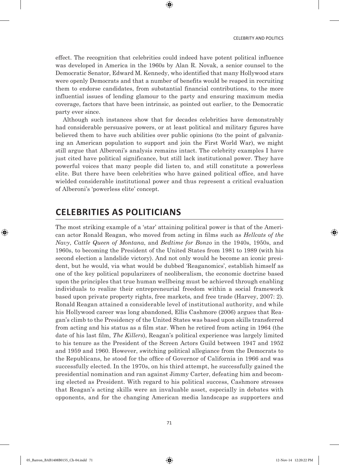effect. The recognition that celebrities could indeed have potent political influence was developed in America in the 1960s by Alan R. Novak, a senior counsel to the Democratic Senator, Edward M. Kennedy, who identified that many Hollywood stars were openly Democrats and that a number of benefits would be reaped in recruiting them to endorse candidates, from substantial financial contributions, to the more influential issues of lending glamour to the party and ensuring maximum media coverage, factors that have been intrinsic, as pointed out earlier, to the Democratic party ever since.

 $\textcircled{\scriptsize{*}}$ 

Although such instances show that for decades celebrities have demonstrably had considerable persuasive powers, or at least political and military figures have believed them to have such abilities over public opinions (to the point of galvanizing an American population to support and join the First World War), we might still argue that Alberoni's analysis remains intact. The celebrity examples I have just cited have political significance, but still lack institutional power. They have powerful voices that many people did listen to, and still constitute a powerless elite. But there have been celebrities who have gained political office, and have wielded considerable institutional power and thus represent a critical evaluation of Alberoni's 'powerless elite' concept.

# **CELEBRITIES AS POLITICIANS**

The most striking example of a 'star' attaining political power is that of the American actor Ronald Reagan, who moved from acting in films such as *Hellcats of the Navy*, *Cattle Queen of Montana*, and *Bedtime for Bonzo* in the 1940s, 1950s, and 1960s, to becoming the President of the United States from 1981 to 1989 (with his second election a landslide victory). And not only would he become an iconic president, but he would, via what would be dubbed 'Reaganomics', establish himself as one of the key political popularizers of neoliberalism, the economic doctrine based upon the principles that true human wellbeing must be achieved through enabling individuals to realize their entrepreneurial freedom within a social framework based upon private property rights, free markets, and free trade (Harvey, 2007: 2). Ronald Reagan attained a considerable level of institutional authority, and while his Hollywood career was long abandoned, Ellis Cashmore (2006) argues that Reagan's climb to the Presidency of the United States was based upon skills transferred from acting and his status as a film star. When he retired from acting in 1964 (the date of his last film, *The Killers*), Reagan's political experience was largely limited to his tenure as the President of the Screen Actors Guild between 1947 and 1952 and 1959 and 1960. However, switching political allegiance from the Democrats to the Republicans, he stood for the office of Governor of California in 1966 and was successfully elected. In the 1970s, on his third attempt, he successfully gained the presidential nomination and ran against Jimmy Carter, defeating him and becoming elected as President. With regard to his political success, Cashmore stresses that Reagan's acting skills were an invaluable asset, especially in debates with opponents, and for the changing American media landscape as supporters and

⊕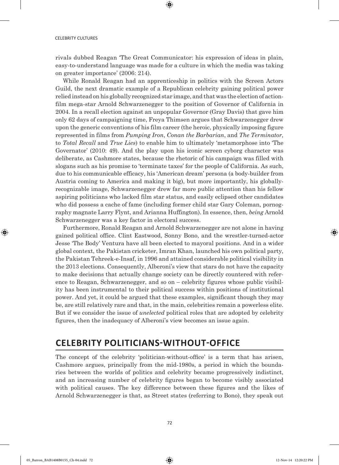rivals dubbed Reagan 'The Great Communicator: his expression of ideas in plain, easy-to-understand language was made for a culture in which the media was taking on greater importance' (2006: 214).

⊕

While Ronald Reagan had an apprenticeship in politics with the Screen Actors Guild, the next dramatic example of a Republican celebrity gaining political power relied instead on his globally recognized star image, and that was the election of actionfilm mega-star Arnold Schwarzenegger to the position of Governor of California in 2004. In a recall election against an unpopular Governor (Gray Davis) that gave him only 62 days of campaigning time, Freya Thimsen argues that Schwarzenegger drew upon the generic conventions of his film career (the heroic, physically imposing figure represented in films from *Pumping Iron*, *Conan the Barbarian*, and *The Terminator*, to *Total Recall* and *True Lies*) to enable him to ultimately 'metamorphose into 'The Governator' (2010: 49). And the play upon his iconic screen cyborg character was deliberate, as Cashmore states, because the rhetoric of his campaign was filled with slogans such as his promise to 'terminate taxes' for the people of California. As such, due to his communicable efficacy, his 'American dream' persona (a body-builder from Austria coming to America and making it big), but more importantly, his globallyrecognizable image, Schwarzenegger drew far more public attention than his fellow aspiring politicians who lacked film star status, and easily eclipsed other candidates who did possess a cache of fame (including former child star Gary Coleman, pornography magnate Larry Flynt, and Arianna Huffington). In essence, then, *being* Arnold Schwarzenegger was a key factor in electoral success.

Furthermore, Ronald Reagan and Arnold Schwarzenegger are not alone in having gained political office. Clint Eastwood, Sonny Bono, and the wrestler-turned-actor Jesse 'The Body' Ventura have all been elected to mayoral positions. And in a wider global context, the Pakistan cricketer, Imran Khan, launched his own political party, the Pakistan Tehreek-e-Insaf, in 1996 and attained considerable political visibility in the 2013 elections. Consequently, Alberoni's view that stars do not have the capacity to make decisions that actually change society can be directly countered with reference to Reagan, Schwarzenegger, and so on – celebrity figures whose public visibility has been instrumental to their political success within positions of institutional power. And yet, it could be argued that these examples, significant though they may be, are still relatively rare and that, in the main, celebrities remain a powerless elite. But if we consider the issue of *unelected* political roles that are adopted by celebrity figures, then the inadequacy of Alberoni's view becomes an issue again.

# **CELEBRITY POLITICIANS-WITHOUT-OFFICE**

The concept of the celebrity 'politician-without-office' is a term that has arisen, Cashmore argues, principally from the mid-1980s, a period in which the boundaries between the worlds of politics and celebrity became progressively indistinct, and an increasing number of celebrity figures began to become visibly associated with political causes. The key difference between these figures and the likes of Arnold Schwarzenegger is that, as Street states (referring to Bono), they speak out

⊕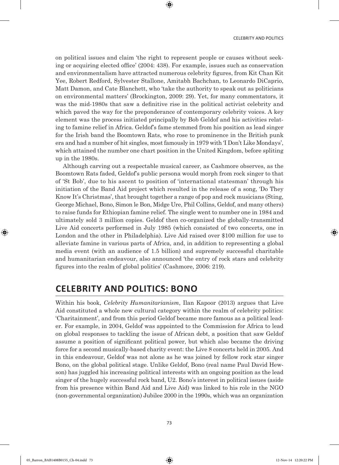on political issues and claim 'the right to represent people or causes without seeking or acquiring elected office' (2004: 438). For example, issues such as conservation and environmentalism have attracted numerous celebrity figures, from Kit Chan Kit Yee, Robert Redford, Sylvester Stallone, Amitabh Bachchan, to Leonardo DiCaprio, Matt Damon, and Cate Blanchett, who 'take the authority to speak out as politicians on environmental matters' (Brockington, 2009: 29). Yet, for many commentators, it was the mid-1980s that saw a definitive rise in the political activist celebrity and which paved the way for the preponderance of contemporary celebrity voices. A key element was the process initiated principally by Bob Geldof and his activities relating to famine relief in Africa. Geldof's fame stemmed from his position as lead singer for the Irish band the Boomtown Rats, who rose to prominence in the British punk era and had a number of hit singles, most famously in 1979 with 'I Don't Like Mondays', which attained the number one chart position in the United Kingdom, before spliting up in the 1980s.

⊕

Although carving out a respectable musical career, as Cashmore observes, as the Boomtown Rats faded, Geldof's public persona would morph from rock singer to that of 'St Bob', due to his ascent to position of 'international statesman' through his initiation of the Band Aid project which resulted in the release of a song, 'Do They Know It's Christmas', that brought together a range of pop and rock musicians (Sting, George Michael, Bono, Simon le Bon, Midge Ure, Phil Collins, Geldof, and many others) to raise funds for Ethiopian famine relief. The single went to number one in 1984 and ultimately sold 3 million copies. Geldof then co-organized the globally-transmitted Live Aid concerts performed in July 1985 (which consisted of two concerts, one in London and the other in Philadelphia). Live Aid raised over \$100 million for use to alleviate famine in various parts of Africa, and, in addition to representing a global media event (with an audience of 1.5 billion) and supremely successful charitable and humanitarian endeavour, also announced 'the entry of rock stars and celebrity figures into the realm of global politics' (Cashmore, 2006: 219).

# **CELEBRITY AND POLITICS: BONO**

Within his book, *Celebrity Humanitarianism*, Ilan Kapoor (2013) argues that Live Aid constituted a whole new cultural category within the realm of celebrity politics: 'Charitainment', and from this period Geldof became more famous as a political leader. For example, in 2004, Geldof was appointed to the Commission for Africa to lead on global responses to tackling the issue of African debt, a position that saw Geldof assume a position of significant political power, but which also became the driving force for a second musically-based charity event: the Live 8 concerts held in 2005. And in this endeavour, Geldof was not alone as he was joined by fellow rock star singer Bono, on the global political stage. Unlike Geldof, Bono (real name Paul David Hewson) has juggled his increasing political interests with an ongoing position as the lead singer of the hugely successful rock band, U2. Bono's interest in political issues (aside from his presence within Band Aid and Live Aid) was linked to his role in the NGO (non-governmental organization) Jubilee 2000 in the 1990s, which was an organization

⊕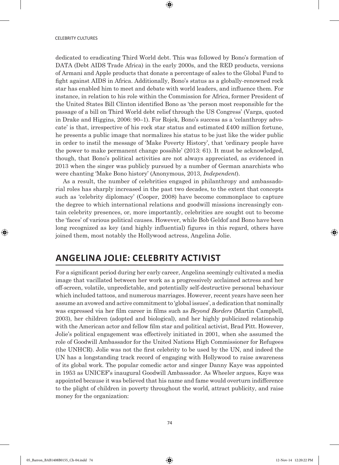dedicated to eradicating Third World debt. This was followed by Bono's formation of DATA (Debt AIDS Trade Africa) in the early 2000s, and the RED products, versions of Armani and Apple products that donate a percentage of sales to the Global Fund to fight against AIDS in Africa. Additionally, Bono's status as a globally-renowned rock star has enabled him to meet and debate with world leaders, and influence them. For instance, in relation to his role within the Commission for Africa, former President of the United States Bill Clinton identified Bono as 'the person most responsible for the passage of a bill on Third World debt relief through the US Congress' (Varga, quoted in Drake and Higgins, 2006: 90–1). For Rojek, Bono's success as a 'celanthropy advocate' is that, irrespective of his rock star status and estimated £400 million fortune, he presents a public image that normalizes his status to be just like the wider public in order to instil the message of 'Make Poverty History', that 'ordinary people have the power to make permanent change possible' (2013: 61). It must be acknowledged, though, that Bono's political activities are not always appreciated, as evidenced in 2013 when the singer was publicly pursued by a number of German anarchists who were chanting 'Make Bono history' (Anonymous, 2013, *Independent*).

⊕

As a result, the number of celebrities engaged in philanthropy and ambassadorial roles has sharply increased in the past two decades, to the extent that concepts such as 'celebrity diplomacy' (Cooper, 2008) have become commonplace to capture the degree to which international relations and goodwill missions increasingly contain celebrity presences, or, more importantly, celebrities are sought out to become the 'faces' of various political causes. However, while Bob Geldof and Bono have been long recognized as key (and highly influential) figures in this regard, others have joined them, most notably the Hollywood actress, Angelina Jolie.

# **ANGELINA JOLIE: CELEBRITY ACTIVIST**

For a significant period during her early career, Angelina seemingly cultivated a media image that vacillated between her work as a progressively acclaimed actress and her off-screen, volatile, unpredictable, and potentially self-destructive personal behaviour which included tattoos, and numerous marriages. However, recent years have seen her assume an avowed and active commitment to 'global issues', a dedication that nominally was expressed via her film career in films such as *Beyond Borders* (Martin Campbell, 2003), her children (adopted and biological), and her highly publicized relationship with the American actor and fellow film star and political activist, Brad Pitt. However, Jolie's political engagement was effectively initiated in 2001, when she assumed the role of Goodwill Ambassador for the United Nations High Commissioner for Refugees (the UNHCR). Jolie was not the first celebrity to be used by the UN, and indeed the UN has a longstanding track record of engaging with Hollywood to raise awareness of its global work. The popular comedic actor and singer Danny Kaye was appointed in 1953 as UNICEF's inaugural Goodwill Ambassador. As Wheeler argues, Kaye was appointed because it was believed that his name and fame would overturn indifference to the plight of children in poverty throughout the world, attract publicity, and raise money for the organization:

⊕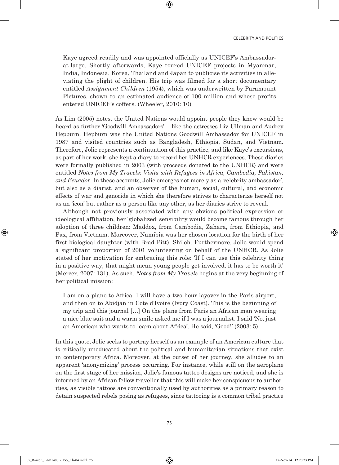Kaye agreed readily and was appointed officially as UNICEF's Ambassadorat-large. Shortly afterwards, Kaye toured UNICEF projects in Myanmar, India, Indonesia, Korea, Thailand and Japan to publicise its activities in alleviating the plight of children. His trip was filmed for a short documentary entitled *Assignment Children* (1954), which was underwritten by Paramount Pictures, shown to an estimated audience of 100 million and whose profits entered UNICEF's coffers. (Wheeler, 2010: 10)

 $\textcircled{\scriptsize{*}}$ 

As Lim (2005) notes, the United Nations would appoint people they knew would be heard as further 'Goodwill Ambassadors' – like the actresses Liv Ullman and Audrey Hepburn. Hepburn was the United Nations Goodwill Ambassador for UNICEF in 1987 and visited countries such as Bangladesh, Ethiopia, Sudan, and Vietnam. Therefore, Jolie represents a continuation of this practice, and like Kaye's excursions, as part of her work, she kept a diary to record her UNHCR experiences. These diaries were formally published in 2003 (with proceeds donated to the UNHCR) and were entitled *Notes from My Travels*: *Visits with Refugees in Africa, Cambodia, Pakistan, and Ecuador*. In these accounts, Jolie emerges not merely as a 'celebrity ambassador', but also as a diarist, and an observer of the human, social, cultural, and economic effects of war and genocide in which she therefore strives to characterize herself not as an 'icon' but rather as a person like any other, as her diaries strive to reveal.

Although not previously associated with any obvious political expression or ideological affiliation, her 'globalized' sensibility would become famous through her adoption of three children: Maddox, from Cambodia, Zahara, from Ethiopia, and Pax, from Vietnam. Moreover, Namibia was her chosen location for the birth of her first biological daughter (with Brad Pitt), Shiloh. Furthermore, Jolie would spend a significant proportion of 2001 volunteering on behalf of the UNHCR. As Jolie stated of her motivation for embracing this role: 'If I can use this celebrity thing in a positive way, that might mean young people get involved, it has to be worth it' (Mercer, 2007: 131). As such, *Notes from My Travels* begins at the very beginning of her political mission:

I am on a plane to Africa. I will have a two-hour layover in the Paris airport, and then on to Abidjan in Cote d'Ivoire (Ivory Coast). This is the beginning of my trip and this journal […] On the plane from Paris an African man wearing a nice blue suit and a warm smile asked me if I was a journalist. I said 'No, just an American who wants to learn about Africa'. He said, 'Good!' (2003: 5)

In this quote, Jolie seeks to portray herself as an example of an American culture that is critically uneducated about the political and humanitarian situations that exist in contemporary Africa. Moreover, at the outset of her journey, she alludes to an apparent 'anonymizing' process occurring. For instance, while still on the aeroplane on the first stage of her mission, Jolie's famous tattoo designs are noticed, and she is informed by an African fellow traveller that this will make her conspicuous to authorities, as visible tattoos are conventionally used by authorities as a primary reason to detain suspected rebels posing as refugees, since tattooing is a common tribal practice

⊕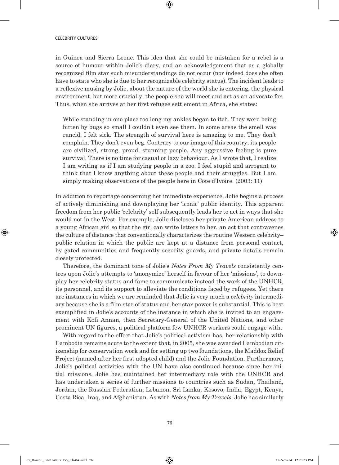in Guinea and Sierra Leone. This idea that she could be mistaken for a rebel is a source of humour within Jolie's diary, and an acknowledgement that as a globally recognized film star such misunderstandings do not occur (nor indeed does she often have to state who she is due to her recognizable celebrity status). The incident leads to a reflexive musing by Jolie, about the nature of the world she is entering, the physical environment, but more crucially, the people she will meet and act as an advocate for. Thus, when she arrives at her first refugee settlement in Africa, she states:

⊕

While standing in one place too long my ankles began to itch. They were being bitten by bugs so small I couldn't even see them. In some areas the smell was rancid. I felt sick. The strength of survival here is amazing to me. They don't complain. They don't even beg. Contrary to our image of this country, its people are civilized, strong, proud, stunning people. Any aggressive feeling is pure survival. There is no time for casual or lazy behaviour. As I wrote that, I realize I am writing as if I am studying people in a zoo. I feel stupid and arrogant to think that I know anything about these people and their struggles. But I am simply making observations of the people here in Cote d'Ivoire. (2003: 11)

In addition to reportage concerning her immediate experience, Jolie begins a process of actively diminishing and downplaying her 'iconic' public identity. This apparent freedom from her public 'celebrity' self subsequently leads her to act in ways that she would not in the West. For example, Jolie discloses her private American address to a young African girl so that the girl can write letters to her, an act that contravenes the culture of distance that conventionally characterizes the routine Western celebrity– public relation in which the public are kept at a distance from personal contact, by gated communities and frequently security guards, and private details remain closely protected.

Therefore, the dominant tone of Jolie's *Notes From My Travels* consistently centres upon Jolie's attempts to 'anonymize' herself in favour of her 'missions', to downplay her celebrity status and fame to communicate instead the work of the UNHCR, its personnel, and its support to alleviate the conditions faced by refugees. Yet there are instances in which we are reminded that Jolie is very much a *celebrity* intermediary because she is a film star of status and her star-power is substantial. This is best exemplified in Jolie's accounts of the instance in which she is invited to an engagement with Kofi Annan, then Secretary-General of the United Nations, and other prominent UN figures, a political platform few UNHCR workers could engage with.

With regard to the effect that Jolie's political activism has, her relationship with Cambodia remains acute to the extent that, in 2005, she was awarded Cambodian citizenship for conservation work and for setting up two foundations, the Maddox Relief Project (named after her first adopted child) and the Jolie Foundation. Furthermore, Jolie's political activities with the UN have also continued because since her initial missions, Jolie has maintained her intermediary role with the UNHCR and has undertaken a series of further missions to countries such as Sudan, Thailand, Jordan, the Russian Federation, Lebanon, Sri Lanka, Kosovo, India, Egypt, Kenya, Costa Rica, Iraq, and Afghanistan. As with *Notes from My Travels*, Jolie has similarly

⊕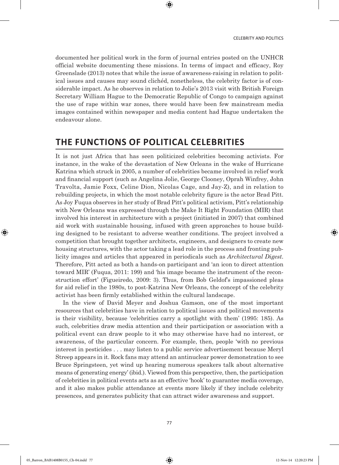documented her political work in the form of journal entries posted on the UNHCR official website documenting these missions. In terms of impact and efficacy, Roy Greenslade (2013) notes that while the issue of awareness-raising in relation to political issues and causes may sound clichéd, nonetheless, the celebrity factor is of considerable impact. As he observes in relation to Jolie's 2013 visit with British Foreign Secretary William Hague to the Democratic Republic of Congo to campaign against the use of rape within war zones, there would have been few mainstream media images contained within newspaper and media content had Hague undertaken the endeavour alone.

⊕

# **THE FUNCTIONS OF POLITICAL CELEBRITIES**

It is not just Africa that has seen politicized celebrities becoming activists. For instance, in the wake of the devastation of New Orleans in the wake of Hurricane Katrina which struck in 2005, a number of celebrities became involved in relief work and financial support (such as Angelina Jolie, George Clooney, Oprah Winfrey, John Travolta, Jamie Foxx, Celine Dion, Nicolas Cage, and Jay-Z), and in relation to rebuilding projects, in which the most notable celebrity figure is the actor Brad Pitt. As Joy Fuqua observes in her study of Brad Pitt's political activism, Pitt's relationship with New Orleans was expressed through the Make It Right Foundation (MIR) that involved his interest in architecture with a project (initiated in 2007) that combined aid work with sustainable housing, infused with green approaches to house building designed to be resistant to adverse weather conditions. The project involved a competition that brought together architects, engineers, and designers to create new housing structures, with the actor taking a lead role in the process and fronting publicity images and articles that appeared in periodicals such as *Architectural Digest*. Therefore, Pitt acted as both a hands-on participant and 'an icon to direct attention toward MIR' (Fuqua, 2011: 199) and 'his image became the instrument of the reconstruction effort' (Figueiredo, 2009: 3). Thus, from Bob Geldof's impassioned pleas for aid relief in the 1980s, to post-Katrina New Orleans, the concept of the celebrity activist has been firmly established within the cultural landscape.

In the view of David Meyer and Joshua Gamson, one of the most important resources that celebrities have in relation to political issues and political movements is their visibility, because 'celebrities carry a spotlight with them' (1995: 185). As such, celebrities draw media attention and their participation or association with a political event can draw people to it who may otherwise have had no interest, or awareness, of the particular concern. For example, then, people 'with no previous interest in pesticides . . . may listen to a public service advertisement because Meryl Streep appears in it. Rock fans may attend an antinuclear power demonstration to see Bruce Springsteen, yet wind up hearing numerous speakers talk about alternative means of generating energy' (ibid.). Viewed from this perspective, then, the participation of celebrities in political events acts as an effective 'hook' to guarantee media coverage, and it also makes public attendance at events more likely if they include celebrity presences, and generates publicity that can attract wider awareness and support.

⊕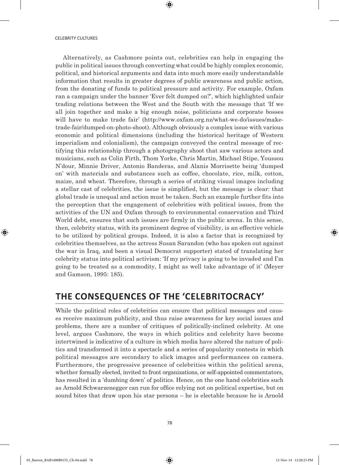Alternatively, as Cashmore points out, celebrities can help in engaging the public in political issues through converting what could be highly complex economic, political, and historical arguments and data into much more easily understandable information that results in greater degrees of public awareness and public action, from the donating of funds to political pressure and activity. For example, Oxfam ran a campaign under the banner 'Ever felt dumped on?', which highlighted unfair trading relations between the West and the South with the message that 'If we all join together and make a big enough noise, politicians and corporate bosses will have to make trade fair' (http://www.oxfam.org.nz/what-we-do/issues/maketrade-fair/dumped-on-photo-shoot). Although obviously a complex issue with various economic and political dimensions (including the historical heritage of Western imperialism and colonialism), the campaign conveyed the central message of rectifying this relationship through a photography shoot that saw various actors and musicians, such as Colin Firth, Thom Yorke, Chris Martin, Michael Stipe, Youssou N'dour, Minnie Driver, Antonio Banderas, and Alanis Morrisette being 'dumped on' with materials and substances such as coffee, chocolate, rice, milk, cotton, maize, and wheat. Therefore, through a series of striking visual images including a stellar cast of celebrities, the issue is simplified, but the message is clear: that global trade is unequal and action must be taken. Such an example further fits into the perception that the engagement of celebrities with political issues, from the activities of the UN and Oxfam through to environmental conservation and Third World debt, ensures that such issues are firmly in the public arena. In this sense, then, celebrity status, with its prominent degree of visibility, is an effective vehicle to be utilized by political groups. Indeed, it is also a factor that is recognized by celebrities themselves, as the actress Susan Sarandon (who has spoken out against the war in Iraq, and been a visual Democrat supporter) stated of translating her celebrity status into political activism: 'If my privacy is going to be invaded and I'm going to be treated as a commodity, I might as well take advantage of it' (Meyer and Gamson, 1995: 185).

⊕

# **THE CONSEQUENCES OF THE 'CELEBRITOCRACY'**

While the political roles of celebrities can ensure that political messages and causes receive maximum publicity, and thus raise awareness for key social issues and problems, there are a number of critiques of politically-inclined celebrity. At one level, argues Cashmore, the ways in which politics and celebrity have become intertwined is indicative of a culture in which media have altered the nature of politics and transformed it into a spectacle and a series of popularity contests in which political messages are secondary to slick images and performances on camera. Furthermore, the progressive presence of celebrities within the political arena, whether formally elected, invited to front organizations, or self-appointed commentators, has resulted in a 'dumbing down' of politics. Hence, on the one hand celebrities such as Arnold Schwarzenegger can run for office relying not on political expertise, but on sound bites that draw upon his star persona – he is electable because he is Arnold

⊕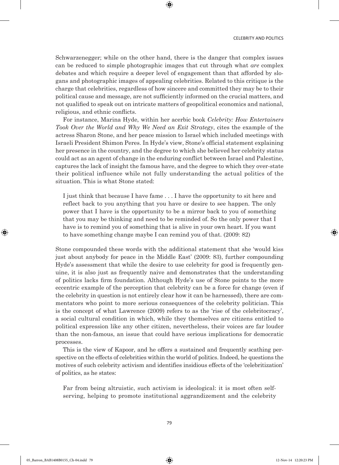Schwarzenegger; while on the other hand, there is the danger that complex issues can be reduced to simple photographic images that cut through what *are* complex debates and which require a deeper level of engagement than that afforded by slogans and photographic images of appealing celebrities. Related to this critique is the charge that celebrities, regardless of how sincere and committed they may be to their political cause and message, are not sufficiently informed on the crucial matters, and not qualified to speak out on intricate matters of geopolitical economics and national, religious, and ethnic conflicts.

 $\textcircled{\scriptsize{*}}$ 

For instance, Marina Hyde, within her acerbic book *Celebrity: How Entertainers Took Over the World and Why We Need an Exit Strategy*, cites the example of the actress Sharon Stone, and her peace mission to Israel which included meetings with Israeli President Shimon Peres. In Hyde's view, Stone's official statement explaining her presence in the country, and the degree to which she believed her celebrity status could act as an agent of change in the enduring conflict between Israel and Palestine, captures the lack of insight the famous have, and the degree to which they over-state their political influence while not fully understanding the actual politics of the situation. This is what Stone stated:

I just think that because I have fame . . . I have the opportunity to sit here and reflect back to you anything that you have or desire to see happen. The only power that I have is the opportunity to be a mirror back to you of something that you may be thinking and need to be reminded of. So the only power that I have is to remind you of something that is alive in your own heart. If you want to have something change maybe I can remind you of that. (2009: 82)

Stone compounded these words with the additional statement that she 'would kiss just about anybody for peace in the Middle East' (2009: 83), further compounding Hyde's assessment that while the desire to use celebrity for good is frequently genuine, it is also just as frequently naive and demonstrates that the understanding of politics lacks firm foundation. Although Hyde's use of Stone points to the more eccentric example of the perception that celebrity can be a force for change (even if the celebrity in question is not entirely clear how it can be harnessed), there are commentators who point to more serious consequences of the celebrity politician. This is the concept of what Lawrence (2009) refers to as the 'rise of the celebritocracy', a social cultural condition in which, while they themselves are citizens entitled to political expression like any other citizen, nevertheless, their voices are far louder than the non-famous, an issue that could have serious implications for democratic processes.

This is the view of Kapoor, and he offers a sustained and frequently scathing perspective on the effects of celebrities within the world of politics. Indeed, he questions the motives of such celebrity activism and identifies insidious effects of the 'celebritization' of politics, as he states:

Far from being altruistic, such activism is ideological: it is most often selfserving, helping to promote institutional aggrandizement and the celebrity

⊕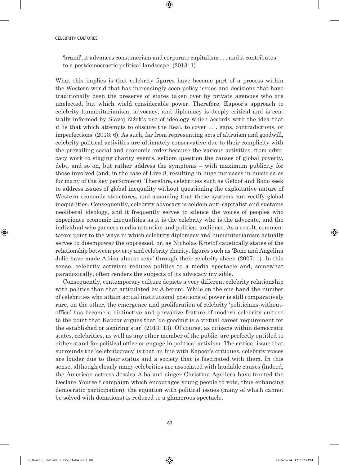'brand'; it advances consumerism and corporate capitalism . . . and it contributes to a postdemocractic political landscape. (2013: 1)

 $\textcircled{\scriptsize{*}}$ 

What this implies is that celebrity figures have become part of a process within the Western world that has increasingly seen policy issues and decisions that have traditionally been the preserve of states taken over by private agencies who are unelected, but which wield considerable power. Therefore, Kapoor's approach to celebrity humanitarianism, advocacy, and diplomacy is deeply critical and is centrally informed by Slavoj Žižek's use of ideology which accords with the idea that it 'is that which attempts to obscure the Real, to cover . . . gaps, contradictions, or imperfections' (2013: 6). As such, far from representing acts of altruism and goodwill, celebrity political activities are ultimately conservative due to their complicity with the prevailing social and economic order because the various activities, from advocacy work to staging charity events, seldom question the causes of global poverty, debt, and so on, but rather address the symptoms – with maximum publicity for those involved (and, in the case of Live 8, resulting in huge increases in music sales for many of the key performers). Therefore, celebrities such as Geldof and Bono seek to address issues of global inequality without questioning the exploitative nature of Western economic structures, and assuming that these systems can rectify global inequalities. Consequently, celebrity advocacy is seldom anti-capitalist and sustains neoliberal ideology, and it frequently serves to silence the voices of peoples who experience economic inequalities as it is the celebrity who is the advocate, and the individual who garners media attention and political audience. As a result, commentators point to the ways in which celebrity diplomacy and humanitarianism actually serves to disempower the oppressed, or, as Nicholas Kristof caustically states of the relationship between poverty and celebrity charity, figures such as 'Bono and Angelina Jolie have made Africa almost sexy' through their celebrity sheen (2007: 1). In this sense, celebrity activism reduces politics to a media spectacle and, somewhat paradoxically, often renders the subjects of its advocacy invisible.

Consequently, contemporary culture depicts a very different celebrity relationship with politics than that articulated by Alberoni. While on the one hand the number of celebrities who attain actual institutional positions of power is still comparatively rare, on the other, the emergence and proliferation of celebrity 'politicians-withoutoffice' has become a distinctive and pervasive feature of modern celebrity culture to the point that Kapoor argues that 'do-gooding is a virtual career requirement for the established or aspiring star' (2013: 13). Of course, as citizens within democratic states, celebrities, as well as any other member of the public, are perfectly entitled to either stand for political office or engage in political activism. The critical issue that surrounds the 'celebritocracy' is that, in line with Kapoor's critiques, celebrity voices are louder due to their status and a society that is fascinated with them. In this sense, although clearly many celebrities are associated with laudable causes (indeed, the American actress Jessica Alba and singer Christina Aguilera have fronted the Declare Yourself campaign which encourages young people to vote, thus enhancing democratic participation), the equation with political issues (many of which cannot be solved with donations) is reduced to a glamorous spectacle.

⊕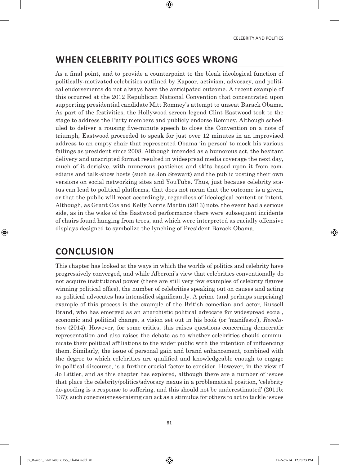# **WHEN CELEBRITY POLITICS GOES WRONG**

As a final point, and to provide a counterpoint to the bleak ideological function of politically-motivated celebrities outlined by Kapoor, activism, advocacy, and political endorsements do not always have the anticipated outcome. A recent example of this occurred at the 2012 Republican National Convention that concentrated upon supporting presidential candidate Mitt Romney's attempt to unseat Barack Obama. As part of the festivities, the Hollywood screen legend Clint Eastwood took to the stage to address the Party members and publicly endorse Romney. Although scheduled to deliver a rousing five-minute speech to close the Convention on a note of triumph, Eastwood proceeded to speak for just over 12 minutes in an improvised address to an empty chair that represented Obama 'in person' to mock his various failings as president since 2008. Although intended as a humorous act, the hesitant delivery and unscripted format resulted in widespread media coverage the next day, much of it derisive, with numerous pastiches and skits based upon it from comedians and talk-show hosts (such as Jon Stewart) and the public posting their own versions on social networking sites and YouTube. Thus, just because celebrity status can lead to political platforms, that does not mean that the outcome is a given, or that the public will react accordingly, regardless of ideological content or intent. Although, as Grant Cos and Kelly Norris Martin (2013) note, the event had a serious side, as in the wake of the Eastwood performance there were subsequent incidents of chairs found hanging from trees, and which were interpreted as racially offensive displays designed to symbolize the lynching of President Barack Obama.

 $\textcircled{\scriptsize{*}}$ 

# **CONCLUSION**

⊕

This chapter has looked at the ways in which the worlds of politics and celebrity have progressively converged, and while Alberoni's view that celebrities conventionally do not acquire institutional power (there are still very few examples of celebrity figures winning political office), the number of celebrities speaking out on causes and acting as political advocates has intensified significantly. A prime (and perhaps surprising) example of this process is the example of the British comedian and actor, Russell Brand, who has emerged as an anarchistic political advocate for widespread social, economic and political change, a vision set out in his book (or 'manifesto'), *Revolution* (2014). However, for some critics, this raises questions concerning democratic representation and also raises the debate as to whether celebrities should communicate their political affiliations to the wider public with the intention of influencing them. Similarly, the issue of personal gain and brand enhancement, combined with the degree to which celebrities are qualified and knowledgeable enough to engage in political discourse, is a further crucial factor to consider. However, in the view of Jo Littler, and as this chapter has explored, although there are a number of issues that place the celebrity/politics/advocacy nexus in a problematical position, 'celebrity do-gooding is a response to suffering, and this should not be underestimated' (2011b: 137); such consciousness-raising can act as a stimulus for others to act to tackle issues